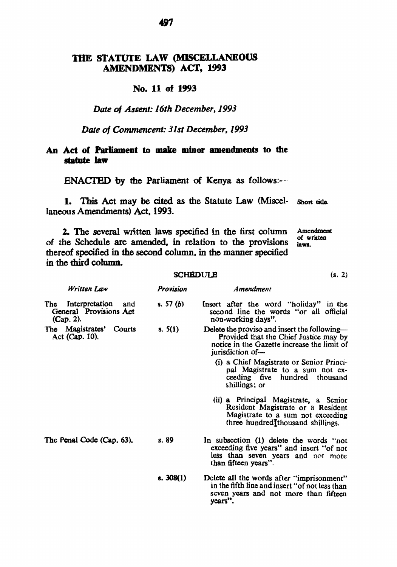## THE STATUTE LAW (MISCELLANEOUS AMENDMENTS) ACT, 1993

## No. 11 of 1993

## *Date of A.ssent: 16th December, 1993*

*Date* of *Commencent: 31st December, 1993* 

## An Act of Parliament to make minor amendments to the statute law

ENACTED by the Parliament of Kenya as follows:-

1. This Act may be cited as the Statute Law (Miscel- Short citle. IaneousAmendments) Act. 1993.

2. The several written laws specified in the first column Amendment of written of the Schedule are amended. in relation to the provisions laws. thereof specified in the second column, in the manner specified in the third column.

### SCHEDULE (s. 2)

| Written Law                                                            | Provision   | Amendment                                                                                                                                                 |
|------------------------------------------------------------------------|-------------|-----------------------------------------------------------------------------------------------------------------------------------------------------------|
| Interpretation<br>The<br>and<br>General Provisions Act<br>$(Cap. 2)$ . | s. 57 $(b)$ | Insert after the word "holiday" in the<br>second line the words "or all official<br>non-working days".                                                    |
| The Magistrates' Courts<br>Act (Cap. 10).                              | s. $5(1)$   | Delete the proviso and insert the following—<br>Provided that the Chief Justice may by<br>notice in the Gazette increase the limit of<br>jurisdiction of- |
|                                                                        |             | (i) a Chief Magistrate or Senior Princi-<br>pal Magistrate to a sum not ex-<br>ceeding five hundred thousand<br>shillings; or                             |
|                                                                        |             | (ii) a Principal Magistrate, a Senior<br>Resident Magistrate or a Resident<br>Magistrate to a sum not exceeding<br>three hundred thousand shillings.      |
| The Penal Code (Cap. 63).                                              | s. 89       | In subsection (1) delete the words "not<br>exceeding five years" and insert "of not<br>less than seven years and not more<br>than fifteen years".         |
|                                                                        | 8.308(1)    | Delete all the words after "imprisonment"<br>in the fifth line and insert "of not less than<br>scven years and not more than fifteen<br>years".           |

497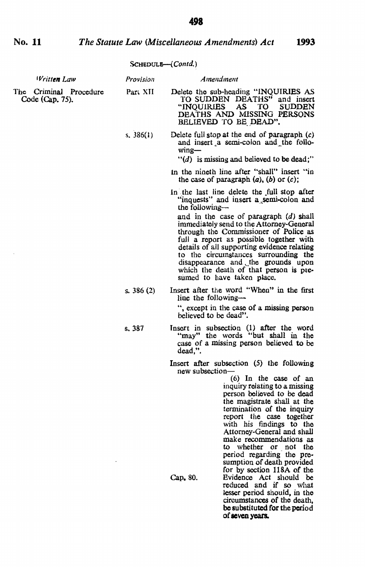|                                           | SCHEDULE-(Contd.) |                                                                                                                                                                                                                                                                                                                                                                                                                                                                                                                                                                                       |
|-------------------------------------------|-------------------|---------------------------------------------------------------------------------------------------------------------------------------------------------------------------------------------------------------------------------------------------------------------------------------------------------------------------------------------------------------------------------------------------------------------------------------------------------------------------------------------------------------------------------------------------------------------------------------|
| <i><u>Written Law</u></i>                 | Provision         | Amendment                                                                                                                                                                                                                                                                                                                                                                                                                                                                                                                                                                             |
| The Criminal Procedure<br>Code (Cap. 75). | Part XII          | Delete the sub-heading "INQUIRIES AS<br>TO SUDDEN DEATHS" and insert<br><b>SUDDEN</b><br>"INOUIRIES<br>AS<br>ТO<br>DEATHS AND MISSING PERSONS<br>BELIEVED TO BE DEAD".                                                                                                                                                                                                                                                                                                                                                                                                                |
|                                           | s. $386(1)$       | Delete full stop at the end of paragraph $(c)$<br>and insert a semi-colon and the follo-<br>$wing-$<br>" $(d)$ is missing and believed to be dead;"                                                                                                                                                                                                                                                                                                                                                                                                                                   |
|                                           |                   |                                                                                                                                                                                                                                                                                                                                                                                                                                                                                                                                                                                       |
|                                           |                   | In the nineth line after "shall" insert "in<br>the case of paragraph $(a)$ , $(b)$ or $(c)$ ;                                                                                                                                                                                                                                                                                                                                                                                                                                                                                         |
|                                           |                   | In the last line delete the full stop after<br>"inquests" and insert a semi-colon and<br>the following- $-$                                                                                                                                                                                                                                                                                                                                                                                                                                                                           |
|                                           |                   | and in the case of paragraph (d) shall<br>immediately send to the Attorney-General<br>through the Commissioner of Police as<br>full a report as possible together with<br>details of all supporting evidence relating<br>to the circumstances surrounding the<br>disappearance and the grounds upon<br>which the death of that person is pre-<br>sumed to have taken place.                                                                                                                                                                                                           |
|                                           | s. 386 $(2)$      | Insert after the word "When" in the first<br>line the following—                                                                                                                                                                                                                                                                                                                                                                                                                                                                                                                      |
|                                           |                   | ", except in the case of a missing person<br>believed to be dead".                                                                                                                                                                                                                                                                                                                                                                                                                                                                                                                    |
|                                           | s. 387            | Insert in subsection (1) after the word<br>"may" the words "but shall in the<br>case of a missing person believed to be<br>dead,".                                                                                                                                                                                                                                                                                                                                                                                                                                                    |
|                                           |                   | Insert after subsection (5) the following<br>new subsection—<br>$(6)$ In the case of an<br>inquiry relating to a missing<br>person believed to be dead<br>the magistrate shall at the<br>termination of the inquiry<br>report the case together<br>with his findings to the<br>Attorney-General and shall<br>make recommendations as<br>to whether or not the<br>period regarding the pre-<br>sumption of death provided<br>for by section 118A of the<br>Cap. 80.<br>Evidence Act should be<br>reduced and if so what<br>lesser period should, in the<br>circumstances of the death. |

be substituted for the period

of seven years.

**498**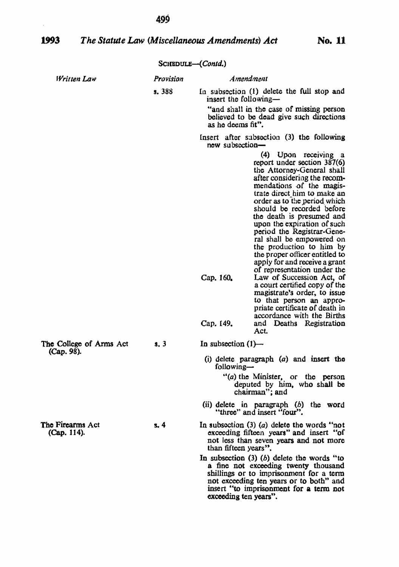## **1993** *The Statute Law (Miscellaneous Amendments) Act* No. 11

| SCHEDULE-(Contd.)               |           |                                                                                                                                                                                                                                                                                                                                                                                                                                                                                                                                          |  |
|---------------------------------|-----------|------------------------------------------------------------------------------------------------------------------------------------------------------------------------------------------------------------------------------------------------------------------------------------------------------------------------------------------------------------------------------------------------------------------------------------------------------------------------------------------------------------------------------------------|--|
| Written Law                     | Provision | <i>Amendment</i>                                                                                                                                                                                                                                                                                                                                                                                                                                                                                                                         |  |
|                                 | s. 388    | In subsection (1) delete the full stop and<br>insert the following—                                                                                                                                                                                                                                                                                                                                                                                                                                                                      |  |
|                                 |           | "and shall in the case of missing person<br>believed to be dead give such directions<br>as he deems fit".                                                                                                                                                                                                                                                                                                                                                                                                                                |  |
|                                 |           | Insert after subsection (3) the following<br>new subsection-                                                                                                                                                                                                                                                                                                                                                                                                                                                                             |  |
|                                 |           | (4) Upon receiving a<br>report under section 387(6)<br>the Attorney-General shall<br>after considering the recom-<br>mendations of the magis-<br>trate direct him to make an<br>order as to the period which<br>should be recorded before<br>the death is presumed and<br>upon the expiration of such<br>period the Registrar-Gene-<br>ral shall be empowered on<br>the production to him by<br>the proper officer entitled to<br>apply for and receive a grant<br>of representation under the<br>Law of Succession Act, of<br>Cap. 160. |  |
|                                 |           | a court certified copy of the<br>magistrate's order, to issue<br>to that person an appro-<br>priate certificate of death in<br>accordance with the Births<br>Cap. 149.<br>and Deaths Registration<br>Act.                                                                                                                                                                                                                                                                                                                                |  |
| The College of Arms Act         | s.3       | In subsection $(1)$ -                                                                                                                                                                                                                                                                                                                                                                                                                                                                                                                    |  |
| (Cap. 98).                      |           | (i) delete paragraph $(a)$ and insert the<br>following-                                                                                                                                                                                                                                                                                                                                                                                                                                                                                  |  |
|                                 |           | $''(a)$ the Minister, or the person<br>deputed by him, who shall be<br>chairman"; and                                                                                                                                                                                                                                                                                                                                                                                                                                                    |  |
|                                 |           | (ii) delete in paragraph $(b)$ the word<br>"three" and insert "four".                                                                                                                                                                                                                                                                                                                                                                                                                                                                    |  |
| The Firearms Act<br>(Cap. 114). | 5.4       | In subsection $(3)$ $(a)$ delete the words "not<br>exceeding fifteen years" and insert "of<br>not less than seven years and not more<br>than fifteen years".                                                                                                                                                                                                                                                                                                                                                                             |  |
|                                 |           | In subsection $(3)$ $(b)$ delete the words "to<br>a fine not exceeding twenty thousand<br>shillings or to imprisonment for a term<br>not exceeding ten years or to both" and<br>insert "to imprisonment for a term not<br>exceeding ten years".                                                                                                                                                                                                                                                                                          |  |

499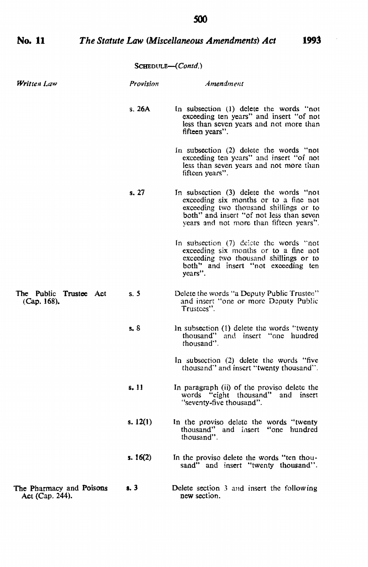## 500

*Amendment* 

## No. 11 **The Statute Law (Miscellaneous Amendments) Act** 1993

*Provision* 

SCHEDULE-(Contd.)

**Written Law** 

The Public Trustee Act (Cap. 168). s.26A In subsection (1) delete the words "not exceeding ten years" and insert "of not less than seven years and not more than fifteen years". In subsection (2) delete the words "not exceeding ten years" and insert "of not less than seven years and not more than fifteen years". s. 27 In subsection (3) delete the words "not s.S exceeding six months or to a fine not exceeding two thousand shillings or to<br>both" and insert "of not less than seven vears and not more than fifteen years". In subsection (7) delete the words "not exceeding six months or to a fine not exceeding two thousand shillings or to both" and insert "not exceeding ten years", Delete the words "a Deputy Public Trustee" and insert "one or more Dzputy Public Trustees". s. 8 In subsection (1) delete the words "twenty s.l1 s.12(1) s. 16(2) thousand" and insert "one hundred thousand". In subsection (2) delete the words "five thousand" and insert "twenty thousand". In paragraph (ii) of the proviso deletc the words "eight thousand" and insert "seventy-five thousand". In the proviso delete the words "twenty thousand" and insert "one hundred thousand", In the proviso delete the words "ten thousand" and insert "twenty thousand".

### The Pharmacy and Poisons Act (Cap. 244). s.3 Delete section 3 and insert the following new section.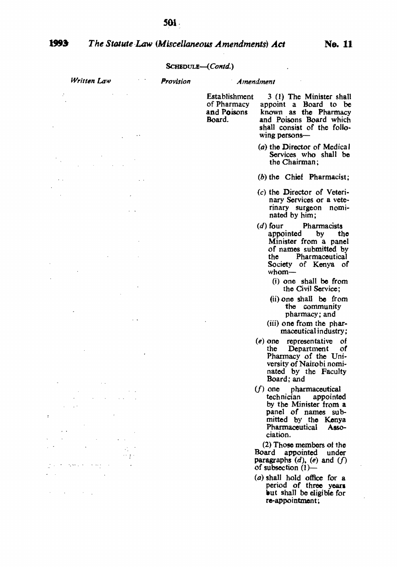# so..

| 1993 | The Statute Law (Miscellaneous Amendments) Act | No. 11 |
|------|------------------------------------------------|--------|
|      |                                                |        |

 $\hat{\boldsymbol{\cdot}$ 

 $\hat{\boldsymbol{\beta}}$ 

 $\sim 10$ 

## SCHEDULE-(Contd.)

| Written Law | Provision |                                                       | Amendment                                                                                                                                                            |
|-------------|-----------|-------------------------------------------------------|----------------------------------------------------------------------------------------------------------------------------------------------------------------------|
|             |           | Establishment<br>of Pharmacy<br>and Poisons<br>Board. | 3 (1) The Minister shall<br>appoint a Board to be<br>known as the Pharmacy<br>and Poisons Board which<br>shall consist of the follo-<br>wing persons-                |
|             |           |                                                       | (a) the Director of Medical<br>Services who shall be<br>the Chairman;                                                                                                |
|             |           |                                                       | $(b)$ the Chief Pharmacist;                                                                                                                                          |
|             |           |                                                       | (c) the Director of Veteri-<br>nary Services or a vete-<br>rinary surgeon nomi-<br>nated by him:                                                                     |
|             |           |                                                       | $(d)$ four<br><b>Pharmacists</b><br>appointed by<br>the<br>Minister from a panel<br>of names submitted by<br>Pharmacoutical<br>the<br>Society of Kenya of<br>$whom-$ |
|             |           |                                                       | (i) one shall be from<br>the Civil Service;                                                                                                                          |
|             |           |                                                       | (ii) one shall be from<br>the community<br>pharmacy; and<br>(iii) one from the phar-                                                                                 |
|             |           |                                                       | maceutical industry:                                                                                                                                                 |
|             |           |                                                       | (e) one representative of<br>the Department of<br>Pharmacy of the Uni-<br>versity of Nairobi nomi-<br>nated by the Faculty<br>Board; and                             |
|             |           |                                                       | $(f)$ one pharmaceutical<br>technician appointed<br>by the Minister from a<br>panel of names sub-<br>mitted by the Kenya<br>Pharmaceutical Asso-                     |
|             |           |                                                       | ciation.<br>(2) Those members of the                                                                                                                                 |
|             |           |                                                       | Board appointed under<br>paragraphs $(d)$ , $(e)$ and $(f)$<br>of subsection $(1)$ —                                                                                 |
|             |           |                                                       | (a) shall hold office for a<br>period of three years<br>but shall be eligible for<br>re-appointment;                                                                 |
|             |           |                                                       |                                                                                                                                                                      |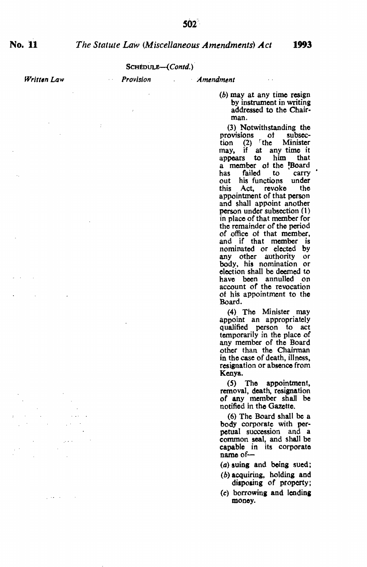$\bar{L}$ 

 $\sim 10^{-11}$ 

 $\sim$ 

**Written Law** 

 $\cdot$ 

SCHEDULE-(Contd.)

*Provision Amendment* 

(b) may at any time resign by instrument in writing addressed to the Chairman.

(3) Notwithstanding the provisions ot subsection  $(2)$  <sup>r</sup>the Minister may, if at any time it appears to him that a member of the Board<br>has failed to carry failed to out his functions under this Act, revoke the appointment of that person and shall appoint another person under subsection (I) in place of that member for the remainder of the period of office ot that member. and if that member is nominated or elected by any other authority or body. his nomination or election shall be deemed to have been annulled on account of the revocation ot his appointment to the Board.

(4) The Minister may appoint an appropriately qualified person to act temporarily in the place of any member of the Board other than the Chairman in the case of death. illness, resignation or absence from Kenya.

(5) The appointment, removal, death, resignation of any member sha11 be notified in the Gazette.

(6) The Board shall be a body corporate with perpetual succession and a common seal, and shall be capable in its corporate name of-

 $(a)$  suing and being sued;

- (b) acquiring, holding and disposing of property;
- $(c)$  borrowing and lending money.

 $\Delta$  , and  $\Delta$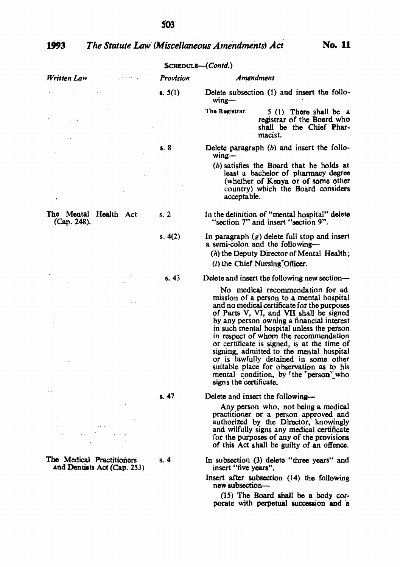## 1993 The Statute Law (Miscellaneous Amendments) Act **No. 11**

| $S$ CHEDULE— $(Contd.)$                                  |                |                                                                                                                                                                                                                                                                                                                                                                                                                                                                                                                                                            |  |
|----------------------------------------------------------|----------------|------------------------------------------------------------------------------------------------------------------------------------------------------------------------------------------------------------------------------------------------------------------------------------------------------------------------------------------------------------------------------------------------------------------------------------------------------------------------------------------------------------------------------------------------------------|--|
| Written Law                                              | Provision      | Amendment                                                                                                                                                                                                                                                                                                                                                                                                                                                                                                                                                  |  |
|                                                          | 8.5(1)         | Delete subsection (1) and insert the follo-<br>$wing-$                                                                                                                                                                                                                                                                                                                                                                                                                                                                                                     |  |
|                                                          |                | The Registrar.<br>$5(1)$ There shall be a<br>registrar of the Board who<br>shall be the Chief Phar-<br>macist.                                                                                                                                                                                                                                                                                                                                                                                                                                             |  |
|                                                          | s. 8           | Delete paragraph $(b)$ and insert the follo-<br>$wing-$                                                                                                                                                                                                                                                                                                                                                                                                                                                                                                    |  |
|                                                          |                | (b) satisfies the Board that he holds at<br>least a bachelor of pharmacy degree<br>(whether of Kenya or of some other<br>country) which the Board considers<br>acceptable.                                                                                                                                                                                                                                                                                                                                                                                 |  |
| The Mental Health Act<br>(Cap. 248).                     | s <sub>2</sub> | In the definition of "mental hospital" delete<br>"section 7" and insert "section 9".                                                                                                                                                                                                                                                                                                                                                                                                                                                                       |  |
|                                                          | s.4(2)         | In paragraph $(g)$ delete full stop and insert<br>a semi-colon and the following--<br>(h) the Deputy Director of Mental Health;<br>(i) the Chief Nursing Officer.                                                                                                                                                                                                                                                                                                                                                                                          |  |
|                                                          | s. 43          | Delete and insert the following new section-                                                                                                                                                                                                                                                                                                                                                                                                                                                                                                               |  |
|                                                          |                | No medical recommendation for ad<br>mission of a person to a mental hospital<br>and no medical certificate for the purposes<br>of Parts V, VI, and VII shall be signed<br>by any person owning a financial interest<br>in such mental hospital unless the person<br>in respect of whom the recommendation<br>or certificate is signed, is at the time of<br>signing, admitted to the mental hospital<br>or is lawfully detained in some other<br>suitable place for observation as to his<br>mental condition, by the person who<br>signs the certificate. |  |
|                                                          | s. 47          | Delete and insert the following-                                                                                                                                                                                                                                                                                                                                                                                                                                                                                                                           |  |
| <b>Contractor</b><br>$\sim$                              |                | Any person who, not being a medical<br>practitioner or a person approved and<br>authorized by the Director, knowingly<br>and wilfully signs any medical certificate<br>for the purposes of any of the provisions<br>of this Act shall be guilty of an offence.                                                                                                                                                                                                                                                                                             |  |
| The Medical Practitioners<br>and Dentists Act (Cap. 253) | s. 4           | In subsection (3) delete "three years" and<br>insert "five years".                                                                                                                                                                                                                                                                                                                                                                                                                                                                                         |  |
|                                                          |                | Insert after subsection (14) the following<br>new subsection-<br>$(15)$ The Board shall be a body cor-<br>porate with perpetual succession and a                                                                                                                                                                                                                                                                                                                                                                                                           |  |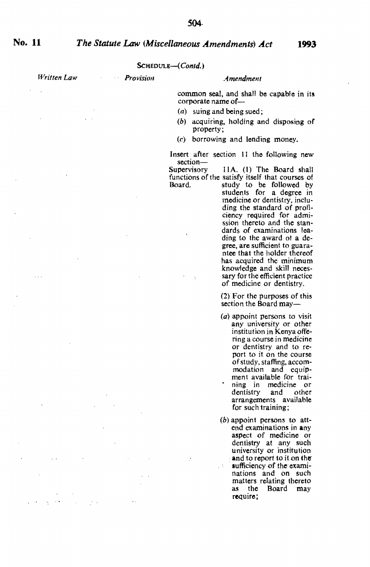$\sim$   $\sim$   $\sim$ 

 $\tau_2 \to \tau$ 

# No. 11 *The Statute Law (Miscellaneous Amendments) Act* **1993**

ScHEDULE-( *Contd.)* 

*Written Law*  $\sim 100$ *Provision Amendment* 

common seal, and shaH be capable in its corporate name of-

 $(a)$  suing and being sued;

 $\sim$ 

- (b) acquiring, holding and disposing of property;
- (c) borrowing and lending money.

Insert after section 11 the following new<br>section-<br>Supervisory 11A. (1) The Board shall

11A. (1) The Board shall functions of the satisfy itself that courses of Board.<br>Board, study to be followed by Board. study to be followed by

students for a degree in medicine or dentistry, including the standard of proficiency required for admission thereto and the standards of examinations leading to the award ot a degree, are sufficient to guarantee that the holder thereof has acquired the minimum<br>knowledge and skill necessary for the efficient practice of medicine or dentistry.

(2) For the purposes of this section the Board may-

- (a) appoint persons to visit any university or other institution in Kenya offering a course in medicine or dentistry and to re-<br>port to it on the course<br>of study, staffing, accom-<br>modation and equip-<br>ment available for training in medicine or dentistry and other arrangements available for such training:
- (b) appoint persons to attend examinations in any<br>aspect of medicine or dentistry at any such university or institution and to report to it on the' sufficiency of the examinations and on such matters relating thereto as the Board may require;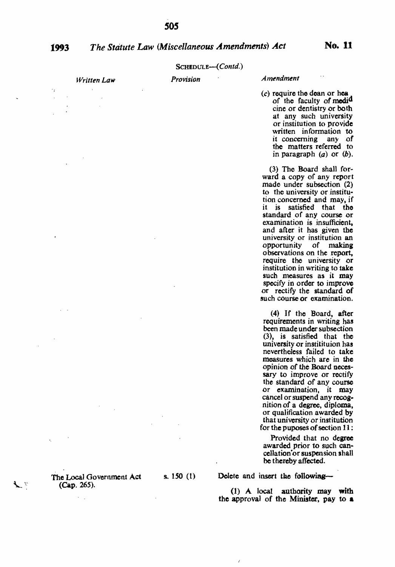## 1993 *The Statute Law (Miscellaneous Amendments) Act* No. 11

### SCHEDULE-(Contd.)

| Written Law | Provision | Amendment                                                                                                                                                                                                                                                                                                                                                                                                                                                                                                                  |
|-------------|-----------|----------------------------------------------------------------------------------------------------------------------------------------------------------------------------------------------------------------------------------------------------------------------------------------------------------------------------------------------------------------------------------------------------------------------------------------------------------------------------------------------------------------------------|
|             |           | $(c)$ require the dean or hea.<br>of the faculty of medi <sup>d</sup><br>cine or dentistry or both<br>at any such university<br>or institution to provide<br>written information to<br>it concerning any<br>- of<br>the matters referred to<br>in paragraph $(a)$ or $(b)$ .                                                                                                                                                                                                                                               |
|             |           | (3) The Board shall for-<br>ward a copy of any report<br>made under subsection (2)<br>to the university or institu-<br>tion concerned and may, if<br>it is satisfied that the<br>standard of any course or<br>examination is insufficient.<br>and after it has given the<br>university or institution an<br>of making<br>opportunity<br>observations on the report,<br>require the university or<br>institution in writing to take<br>such measures as it may<br>specify in order to improve<br>or rectify the standard of |

(4) If the Board, after requirements in writing has been made under subsection (3), is satisfied that the university or institution has<br>nevertheless failed to take measures which are in the opinion of the Board neces-<br>sary to improve or rectify<br>the standard of any course or examination, it may cancel or suspend any recognition of a degree, diploma, or qualification awarded by that university or institution for the puposes of section 11:

such course or examination.

Provided that no degree<br>awarded prior to such cancellation'or suspension shall be thereby affected.

The Local Government Act (Cap. 265).

яÎ,

s. 150 (1)

Delete and insert the following-

 $\lambda$ 

(1) A local authority may with the approval of the Minister, pay to a

*sos*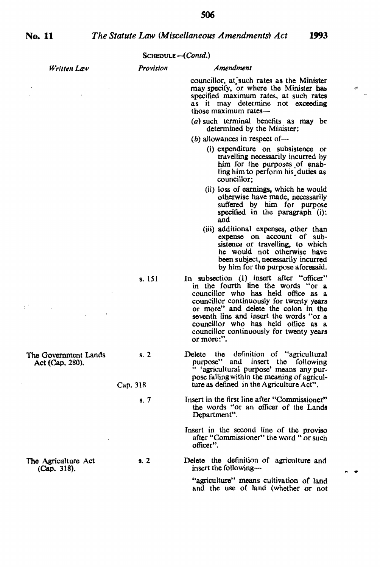$\mathbb{R}^3$ 

S06

|                                         |                  | $S$ CHEDULE $-(Contd.)$                                                                                                                                                                                                                                                                                                                               |
|-----------------------------------------|------------------|-------------------------------------------------------------------------------------------------------------------------------------------------------------------------------------------------------------------------------------------------------------------------------------------------------------------------------------------------------|
| Written Law                             | <b>Provision</b> | Amendment                                                                                                                                                                                                                                                                                                                                             |
|                                         |                  | councillor, at such rates as the Minister<br>may specify, or where the Minister has<br>specified maximum rates, at such rates<br>as it may determine not exceeding<br>those maximum rates—                                                                                                                                                            |
|                                         |                  | (a) such terminal benefits as may be<br>determined by the Minister;                                                                                                                                                                                                                                                                                   |
|                                         |                  | (b) allowances in respect of $-$                                                                                                                                                                                                                                                                                                                      |
|                                         |                  | (i) expenditure on subsistence or<br>travelling necessarily incurred by<br>him for the purposes of enab-<br>ling him to perform his duties as<br>councillor:                                                                                                                                                                                          |
|                                         |                  | (ii) loss of earnings, which he would<br>otherwise have made, necessarily<br>suffered by him for purpose<br>specified in the paragraph (i);<br>and                                                                                                                                                                                                    |
|                                         |                  | (iii) additional expenses, other than<br>expense on account of sub-<br>sistence or travelling, to which<br>he would not otherwise have<br>been subject, necessarily incurred<br>by him for the purpose aforesaid.                                                                                                                                     |
|                                         | s. 151           | In subsection (1) insert after "officer"<br>in the fourth line the words "or a<br>councillor who has held office as a<br>councillor continuously for twenty years<br>or more" and delete the colon in the<br>seventh line and insert the words "or a<br>councillor who has held office as a<br>councillor continuously for twenty years<br>or more:". |
| The Government Lands<br>Act (Cap. 280). | s.2<br>Cap. 318  | Delete the definition of "agricultural"<br>purpose" and insert the following<br>" 'agricultural purpose' means any pur-<br>pose falling within the meaning of agricul-<br>ture as defined in the Agriculture Act".                                                                                                                                    |
|                                         | 8.7              | Insert in the first line after "Commissioner"<br>the words "or an officer of the Lands<br>Department".                                                                                                                                                                                                                                                |
|                                         |                  | Insert in the second line of the proviso<br>after "Commissioner" the word " or such<br>officer".                                                                                                                                                                                                                                                      |
| The Agriculture Act<br>(Cap. 318).      | 3.2              | Delete the definition of agriculture and<br>insert the following---                                                                                                                                                                                                                                                                                   |
|                                         |                  | "agriculture" means cultivation of land<br>and the use of land (whether or not                                                                                                                                                                                                                                                                        |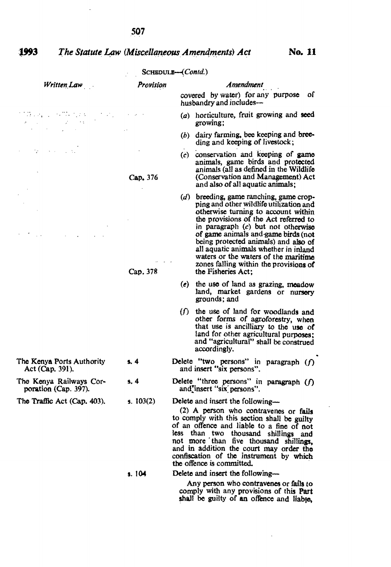*.s07* 

 $\overline{a}$ 

 $\mathcal{L}^{\pm}$ 

 $\bar{z}$ 

 $\overline{a}$ 

|                                                 |           | SCHEDULE—(Contd.)                                                                                                                                                                                                                                                                                                                                                                                                                            |
|-------------------------------------------------|-----------|----------------------------------------------------------------------------------------------------------------------------------------------------------------------------------------------------------------------------------------------------------------------------------------------------------------------------------------------------------------------------------------------------------------------------------------------|
| Written Law                                     | Provision | Amendment                                                                                                                                                                                                                                                                                                                                                                                                                                    |
|                                                 |           | covered by water) for any purpose<br>٥ſ<br>husbandry and includes—                                                                                                                                                                                                                                                                                                                                                                           |
|                                                 |           | (a) horticulture, fruit growing and seed<br>growing;                                                                                                                                                                                                                                                                                                                                                                                         |
|                                                 |           | (b) dairy farming, bee keeping and bree-<br>ding and keeping of livestock;                                                                                                                                                                                                                                                                                                                                                                   |
|                                                 | Cap. 376  | (c) conservation and keeping of game<br>animals, game birds and protected<br>animals (all as defined in the Wildlife<br>(Conservation and Management) Act<br>and also of all aquatic animals:                                                                                                                                                                                                                                                |
|                                                 | Cap. 378  | $(d)$ breeding, game ranching, game crop-<br>ping and other wildlife utilization and<br>otherwise turning to account within<br>the provisions of the Act referred to<br>in paragraph $(c)$ but not otherwise<br>of game animals and game birds (not<br>being protected animals) and also of<br>all aquatic animals whether in inland<br>waters or the waters of the maritime<br>zones falling within the provisions of<br>the Fisheries Act: |
|                                                 |           | (e) the use of land as grazing, meadow<br>land, market gardens or nursery<br>grounds; and                                                                                                                                                                                                                                                                                                                                                    |
|                                                 |           | $(f)$ the use of land for woodlands and<br>other forms of agroforestry, when<br>that use is ancilliary to the use of<br>land for other agricultural purposes;<br>and "agricultural" shall be construed<br>accordingly.                                                                                                                                                                                                                       |
| The Kenya Ports Authority<br>Act (Cap. 391).    | 5.4       | Delete "two persons" in paragraph $(f)$<br>and insert "six persons".                                                                                                                                                                                                                                                                                                                                                                         |
| The Kenya Railways Cor-<br>poration (Cap. 397). | s. 4      | Delete "three persons" in paragraph $(f)$<br>and'insert "six persons".                                                                                                                                                                                                                                                                                                                                                                       |
| The Traffic Act (Cap. 403).                     | 9.103(2)  | Delete and insert the following—<br>(2) A person who contravenes or fails<br>to comply with this section shall be guilty<br>of an offence and liable to a fine of not<br>less than two thousand shillings and<br>not more than five thousand shillings,<br>and in addition the court may order the<br>confiscation of the instrument by which<br>the offence is committed.                                                                   |
|                                                 | s. 104    | Delete and insert the following-                                                                                                                                                                                                                                                                                                                                                                                                             |
|                                                 |           | Any person who contravenes or fails to<br>comply with any provisions of this Part                                                                                                                                                                                                                                                                                                                                                            |

shall be guilty of an offence and liable,

 $\sim$